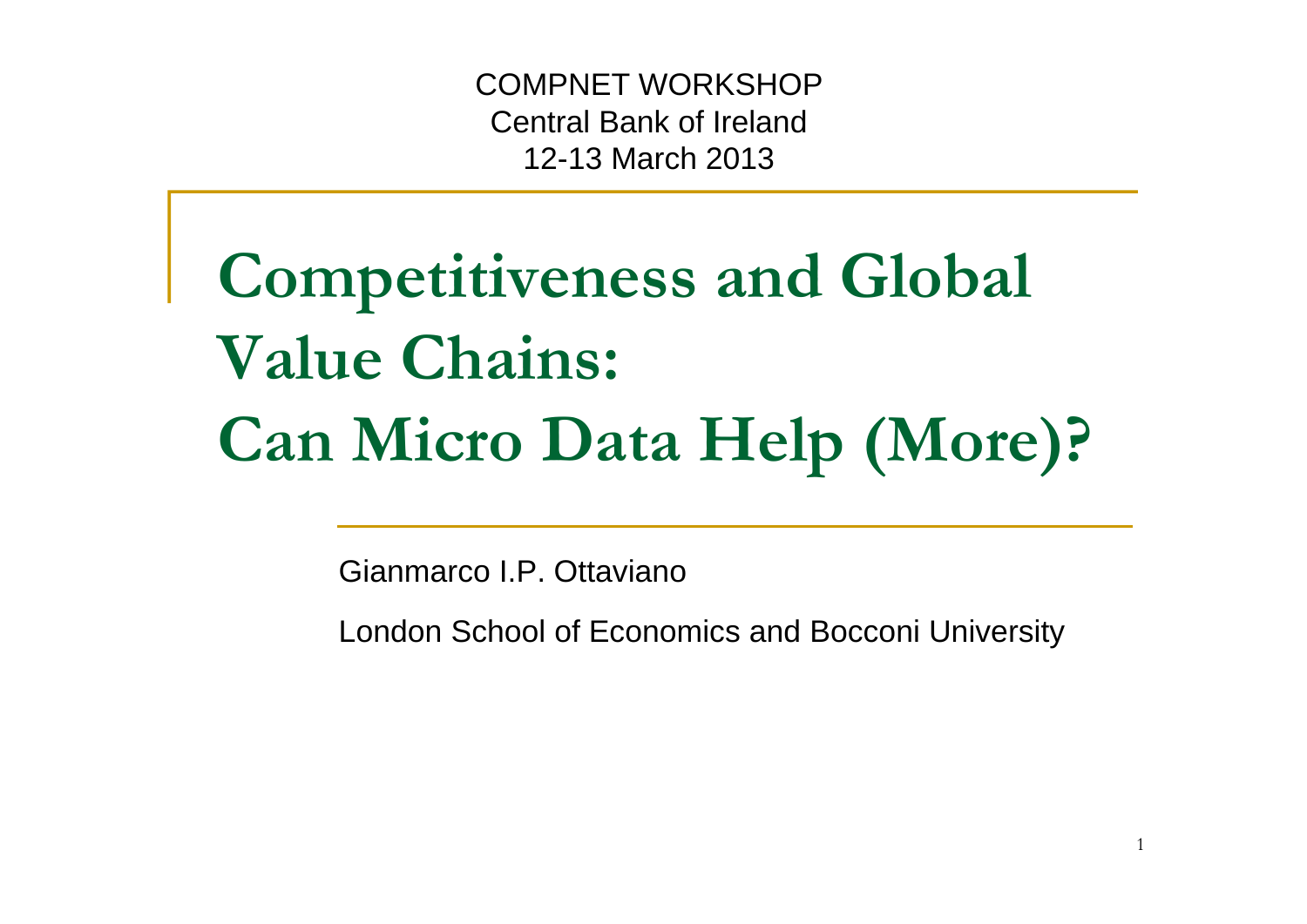COMPNET WORKSHOP Central Bank of Ireland 12-13 March 2013

# **Competitiveness and Global Value Chains: Can Micro Data Help (More)?**

Gianmarco I.P. Ottaviano

London School of Economics and Bocconi University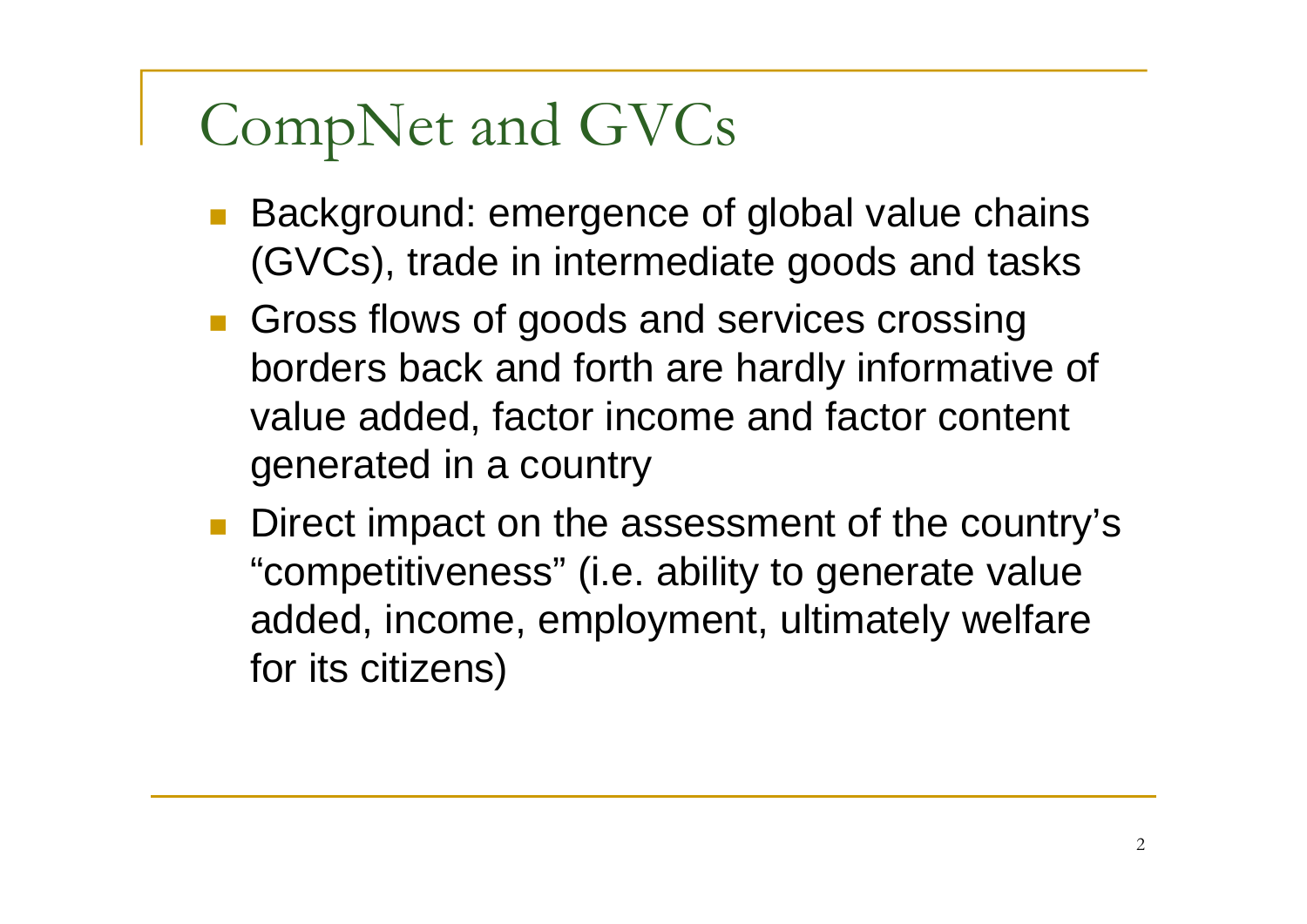# CompNet and GVCs

- Background: emergence of global value chains (GVCs), trade in intermediate goods and tasks
- **Gross flows of goods and services crossing** borders back and forth are hardly informative of value added, factor income and factor content generated in a country
- F Direct impact on the assessment of the country's "competitiveness" (i.e. ability to generate value added, income, employment, ultimately welfare for its citizens)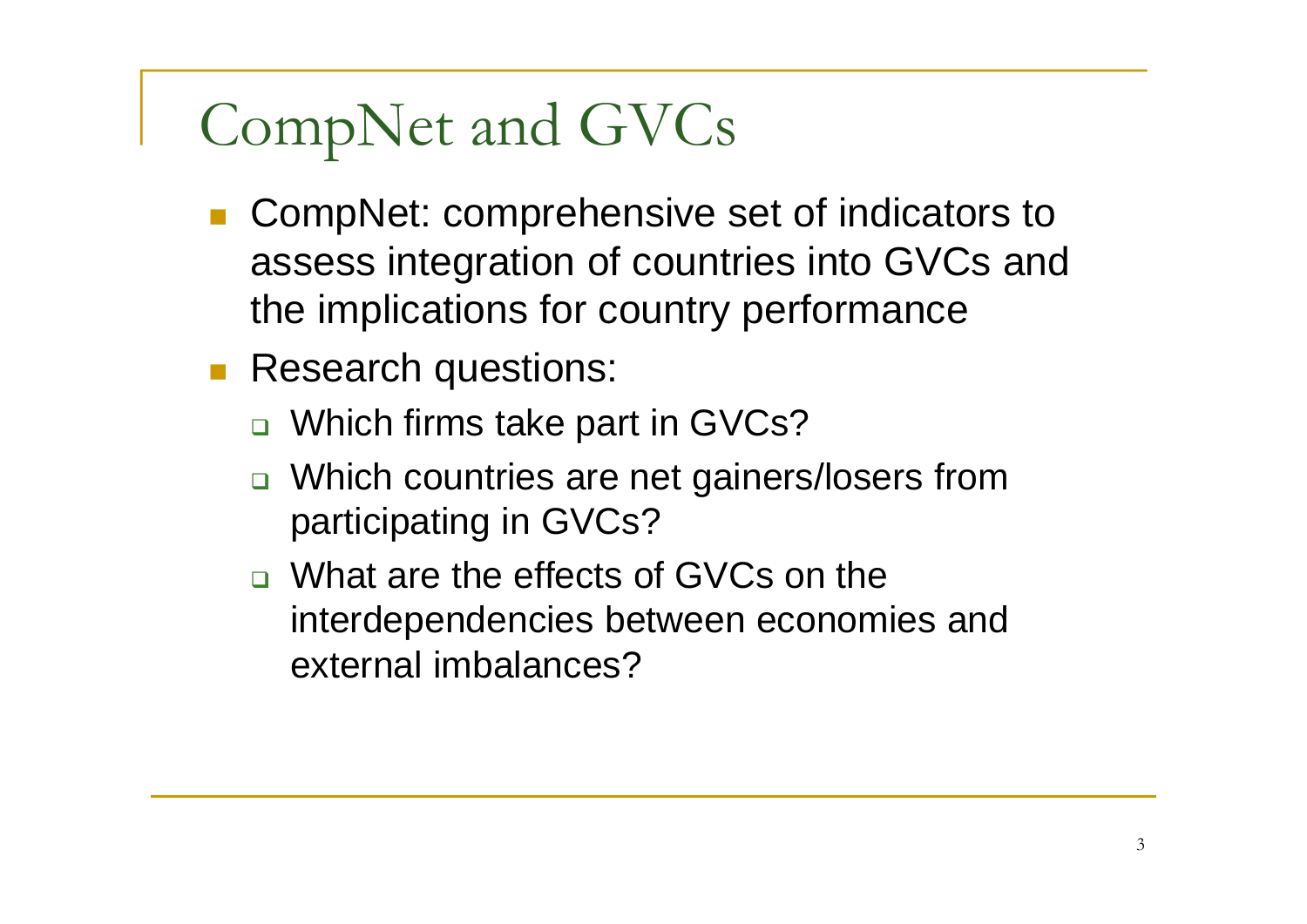# CompNet and GVCs

- CompNet: comprehensive set of indicators to assess integration of countries into GVCs and the implications for country performance
- Research questions:
	- $\Box$ Which firms take part in GVCs?
	- $\Box$  Which countries are net gainers/losers from participating in GVCs?
	- What are the effects of GVCs on the interdependencies between economies and external imbalances?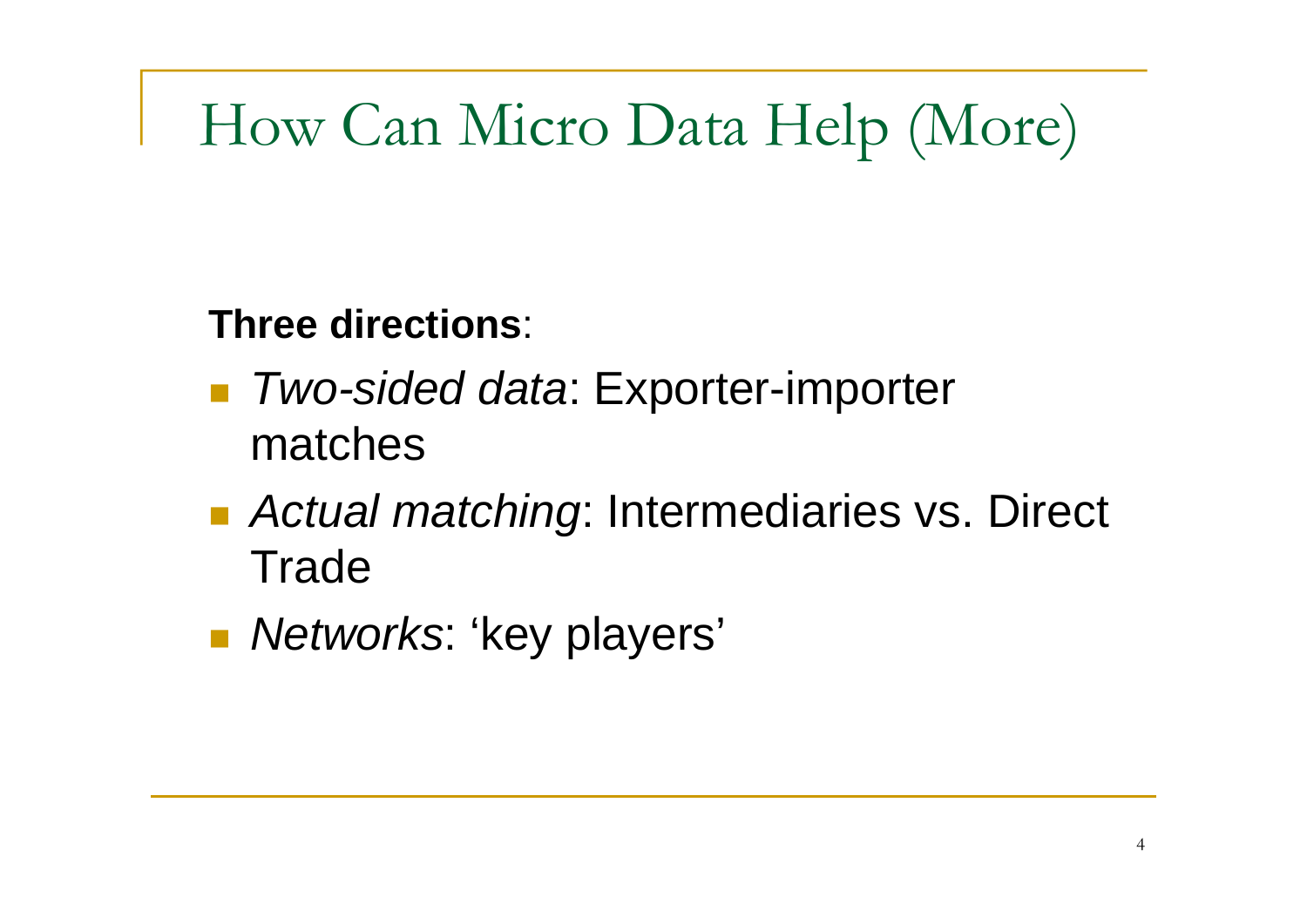## How Can Micro Data Help (More)

**Three directions**:

- *Two-sided data*: Exporter-importer matches
- Actual matching: Intermediaries vs. Direct **Trade**
- *Networks*: 'key players'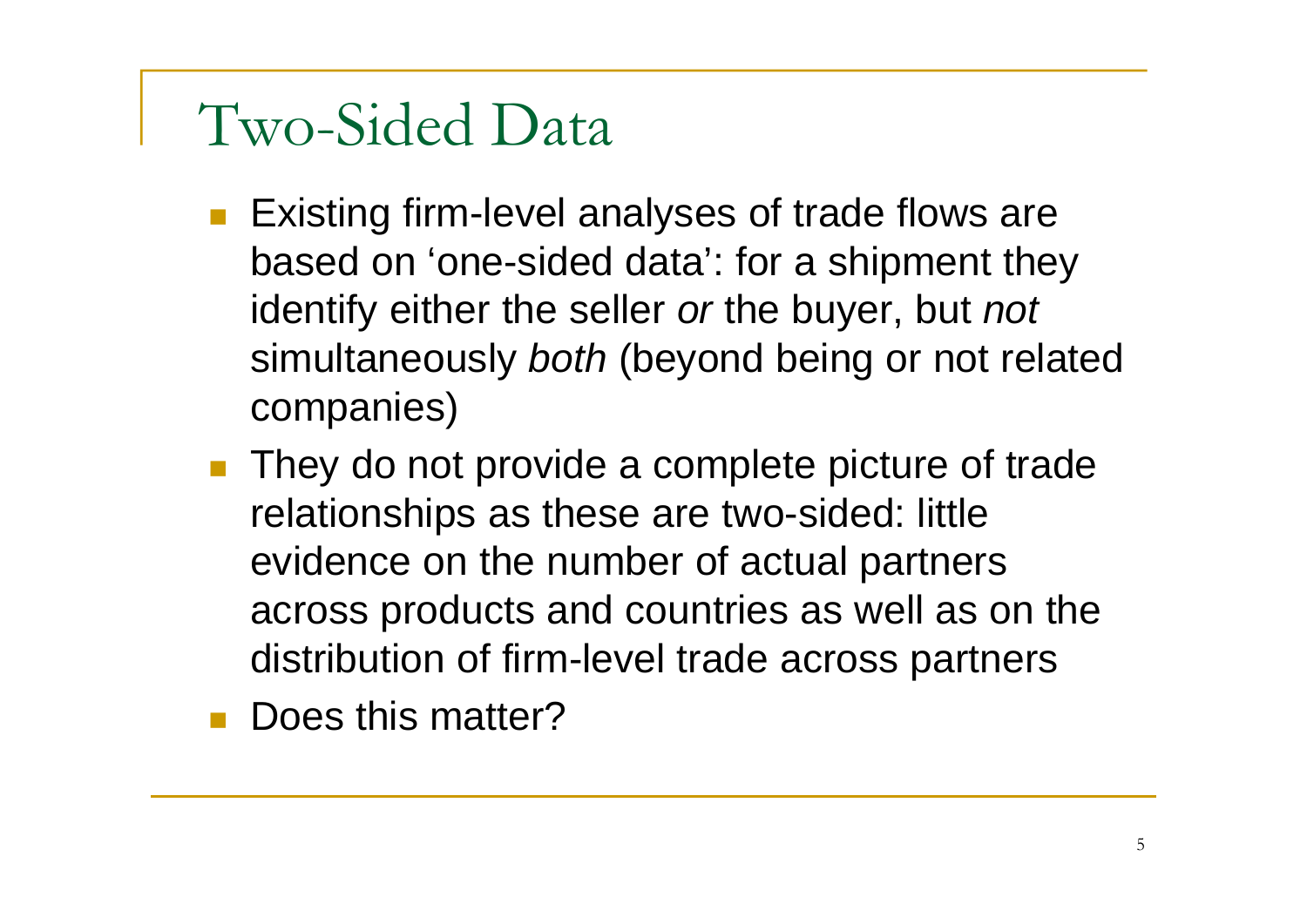#### Two-Sided Data

- **Existing firm-level analyses of trade flows are** based on 'one-sided data': for a shipment they identify either the seller *or* the buyer, but *not* simultaneously *both* (beyond being or not related companies)
- F They do not provide a complete picture of trade relationships as these are two-sided: little evidence on the number of actual partners across products and countries as well as on the distribution of firm-level trade across partners
- F Does this matter?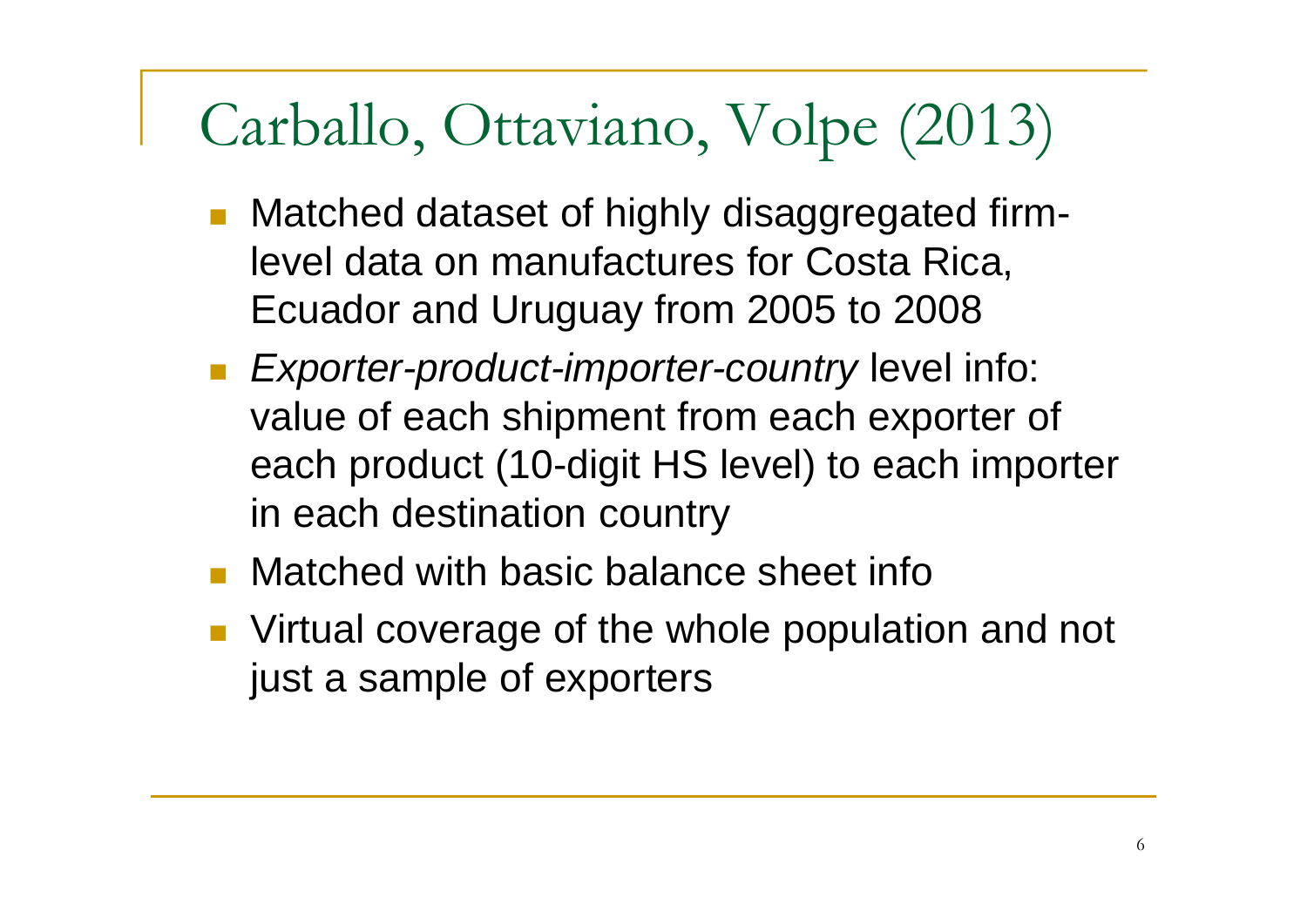## Carballo, Ottaviano, Volpe (2013)

- Matched dataset of highly disaggregated firmlevel data on manufactures for Costa Rica, Ecuador and Uruguay from 2005 to 2008
- *Exporter-product-importer-country* level info: value of each shipment from each exporter of each product (10-digit HS level) to each importer in each destination country
- Matched with basic balance sheet info
- **Number 1** Virtual coverage of the whole population and not just a sample of exporters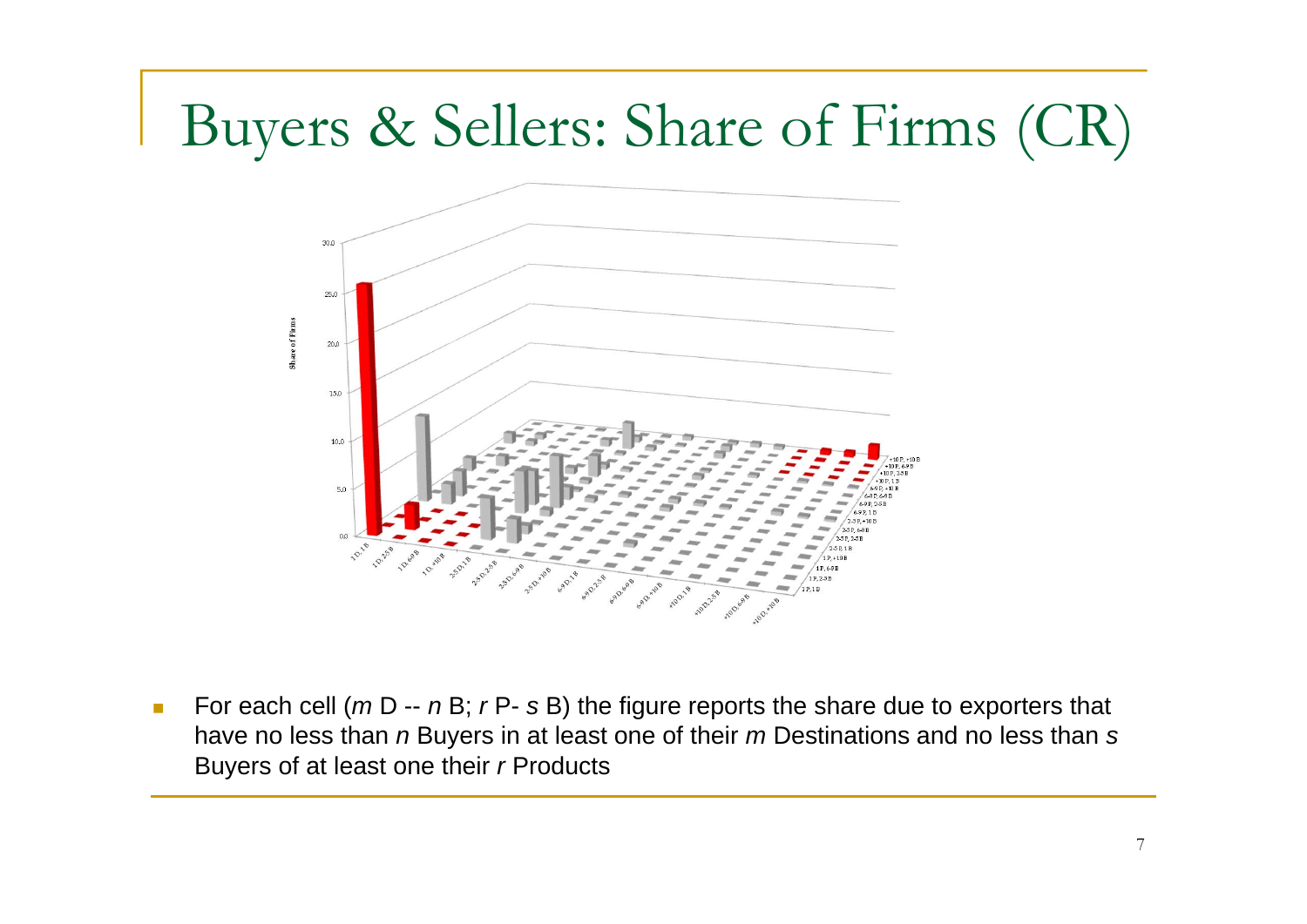## Buyers & Sellers: Share of Firms (CR)



 $\mathcal{L}_{\mathcal{A}}$ ■ For each cell (*m* D -- *n* B; *r* P- *s* B) the figure reports the share due to exporters that have no less than *n* Buyers in at least one of their *m* Destinations and no less than *s* Buyers of at least one their *r* Products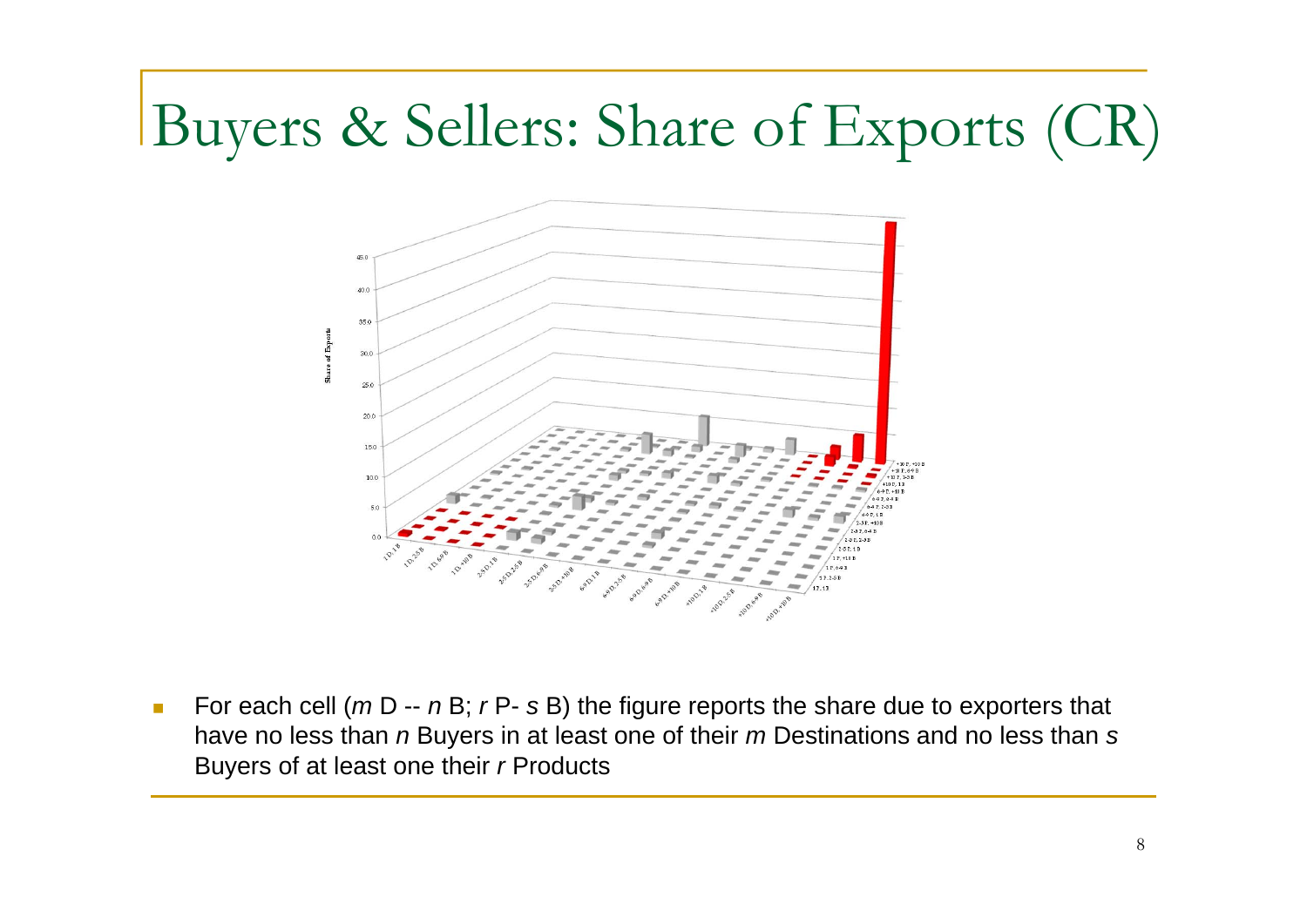## Buyers & Sellers: Share of Exports (CR)



 $\mathcal{L}_{\mathcal{A}}$ ■ For each cell (*m* D -- *n* B; *r* P- *s* B) the figure reports the share due to exporters that have no less than *n* Buyers in at least one of their *m* Destinations and no less than *s* Buyers of at least one their *r* Products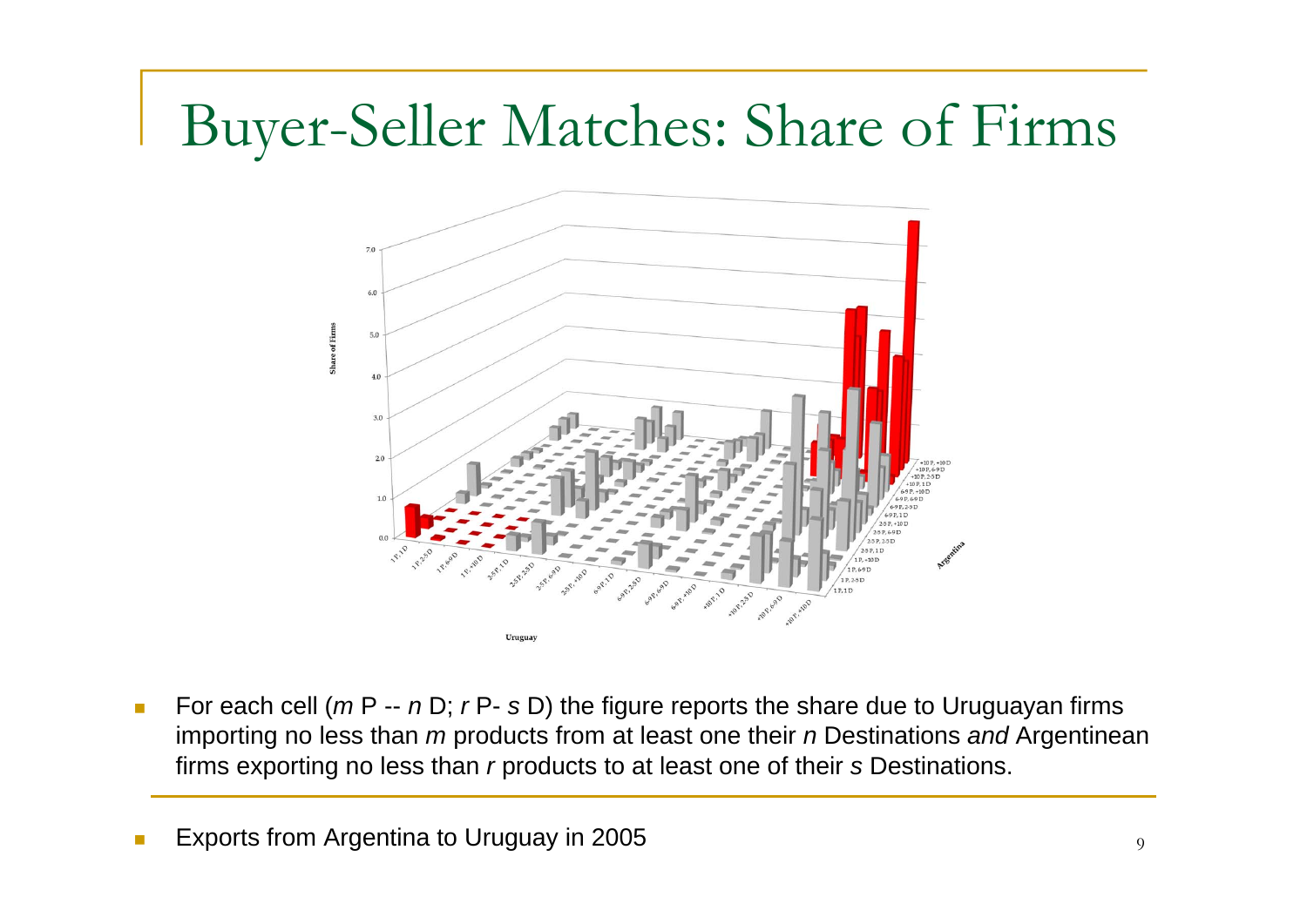## Buyer-Seller Matches: Share of Firms



 $\mathcal{L}_{\mathcal{A}}$ ■ For each cell (*m* P -- *n* D; *r* P- *s* D) the figure reports the share due to Uruguayan firms importing no less than *m* products from at least one their *n* Destinations and Argentinean firms exporting no less than *r* products to at least one of their *s* Destinations.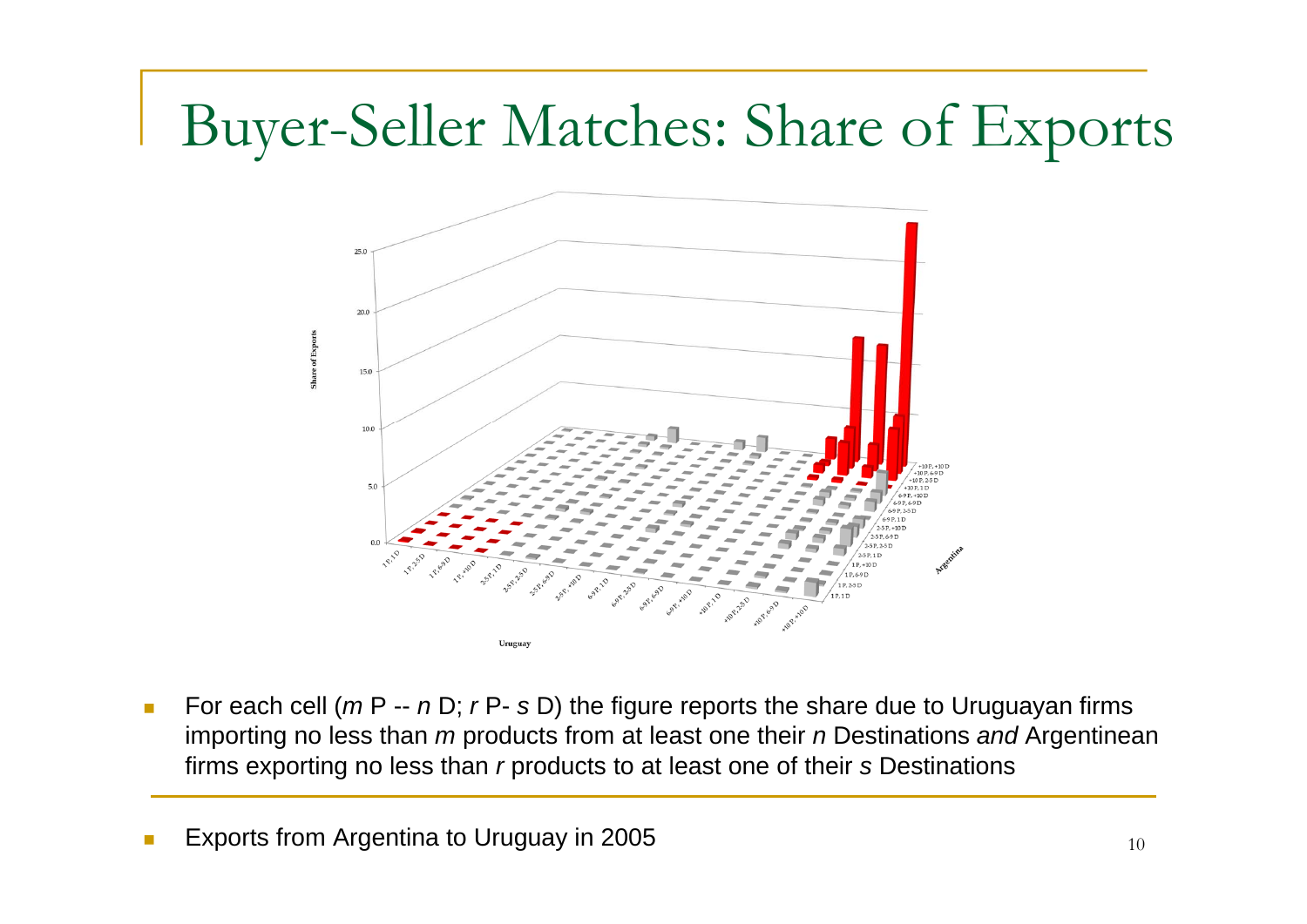## Buyer-Seller Matches: Share of Exports



 $\mathcal{C}^{\mathcal{A}}$ ■ For each cell (*m* P -- *n* D; *r* P- *s* D) the figure reports the share due to Uruguayan firms importing no less than *m* products from at least one their *n* Destinations and Argentinean firms exporting no less than *r* products to at least one of their *s* Destinations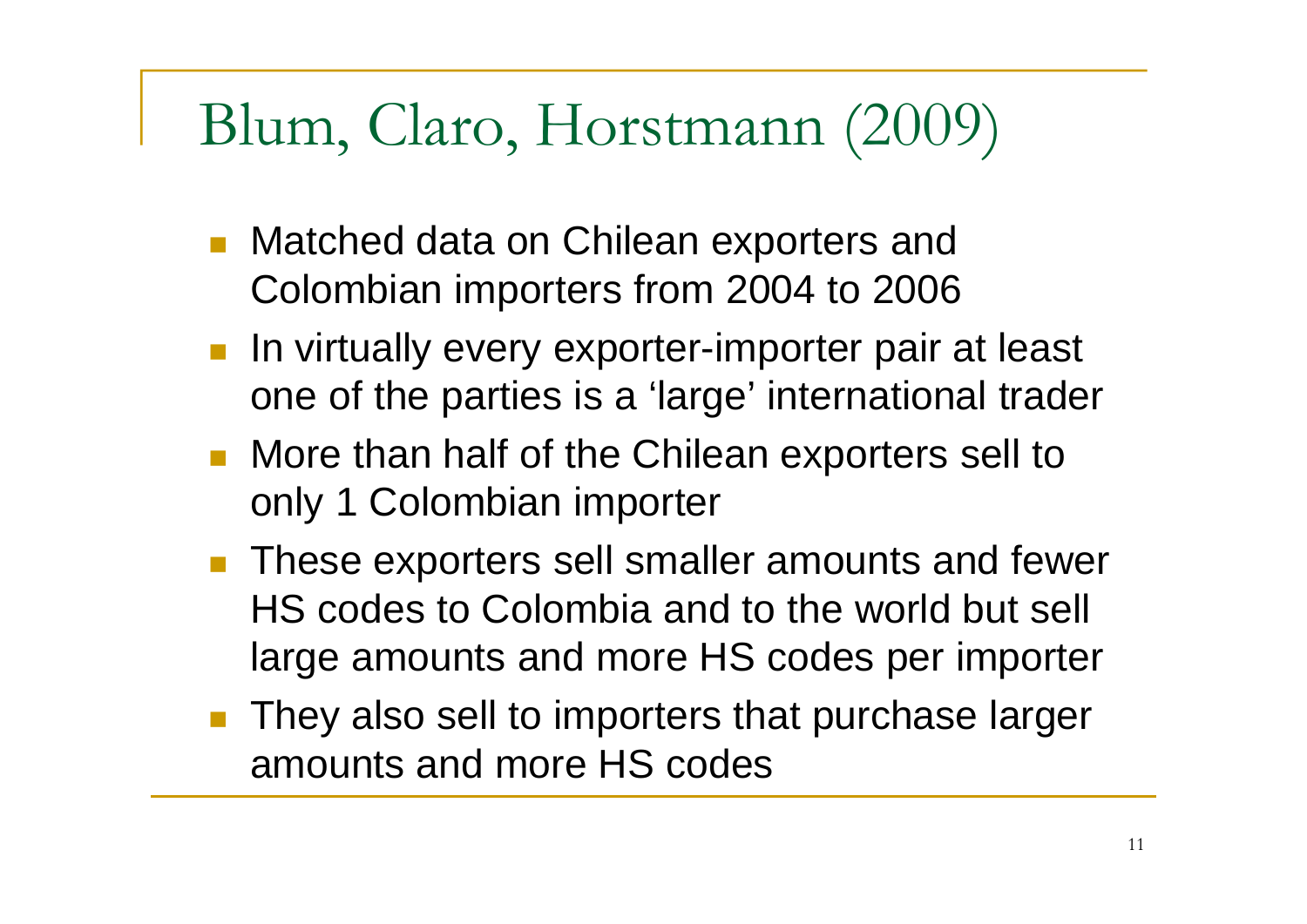#### Blum, Claro, Horstmann (2009)

- Matched data on Chilean exporters and Colombian importers from 2004 to 2006
- **In virtually every exporter-importer pair at least** one of the parties is a 'large' international trader
- More than half of the Chilean exporters sell to only 1 Colombian importer
- F These exporters sell smaller amounts and fewer HS codes to Colombia and to the world but sell large amounts and more HS codes per importer
- F They also sell to importers that purchase larger amounts and more HS codes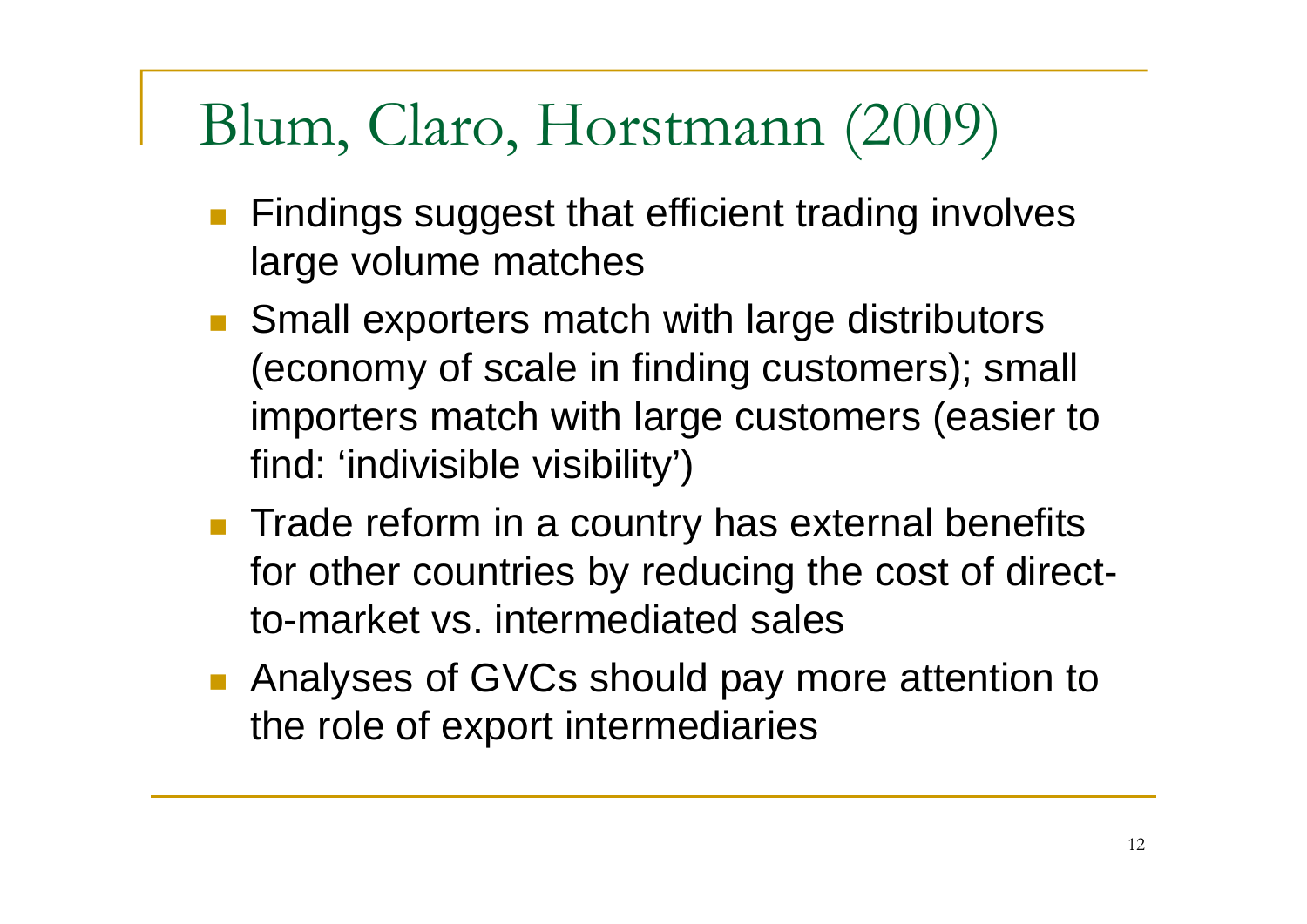## Blum, Claro, Horstmann (2009)

- **Findings suggest that efficient trading involves** large volume matches
- Small exporters match with large distributors (economy of scale in finding customers); small importers match with large customers (easier to find: 'indivisible visibility')
- **Trade reform in a country has external benefits** for other countries by reducing the cost of directto-market vs. intermediated sales
- **Analyses of GVCs should pay more attention to** the role of export intermediaries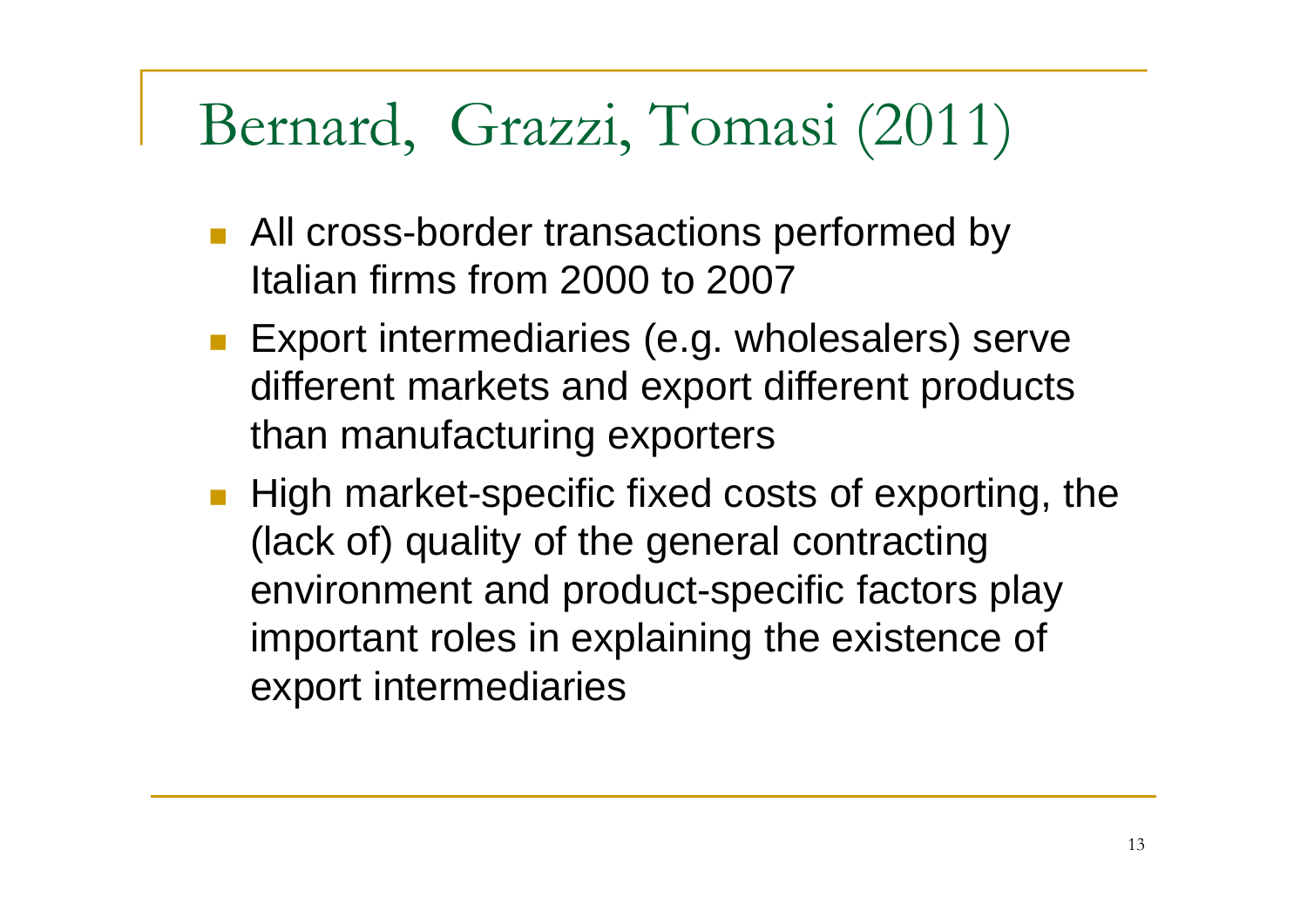#### Bernard, Grazzi, Tomasi (2011)

- **All cross-border transactions performed by** Italian firms from 2000 to 2007
- **Export intermediaries (e.g. wholesalers) serve** different markets and export different products than manufacturing exporters
- **High market-specific fixed costs of exporting, the** (lack of) quality of the general contracting environment and product-specific factors play important roles in explaining the existence of export intermediaries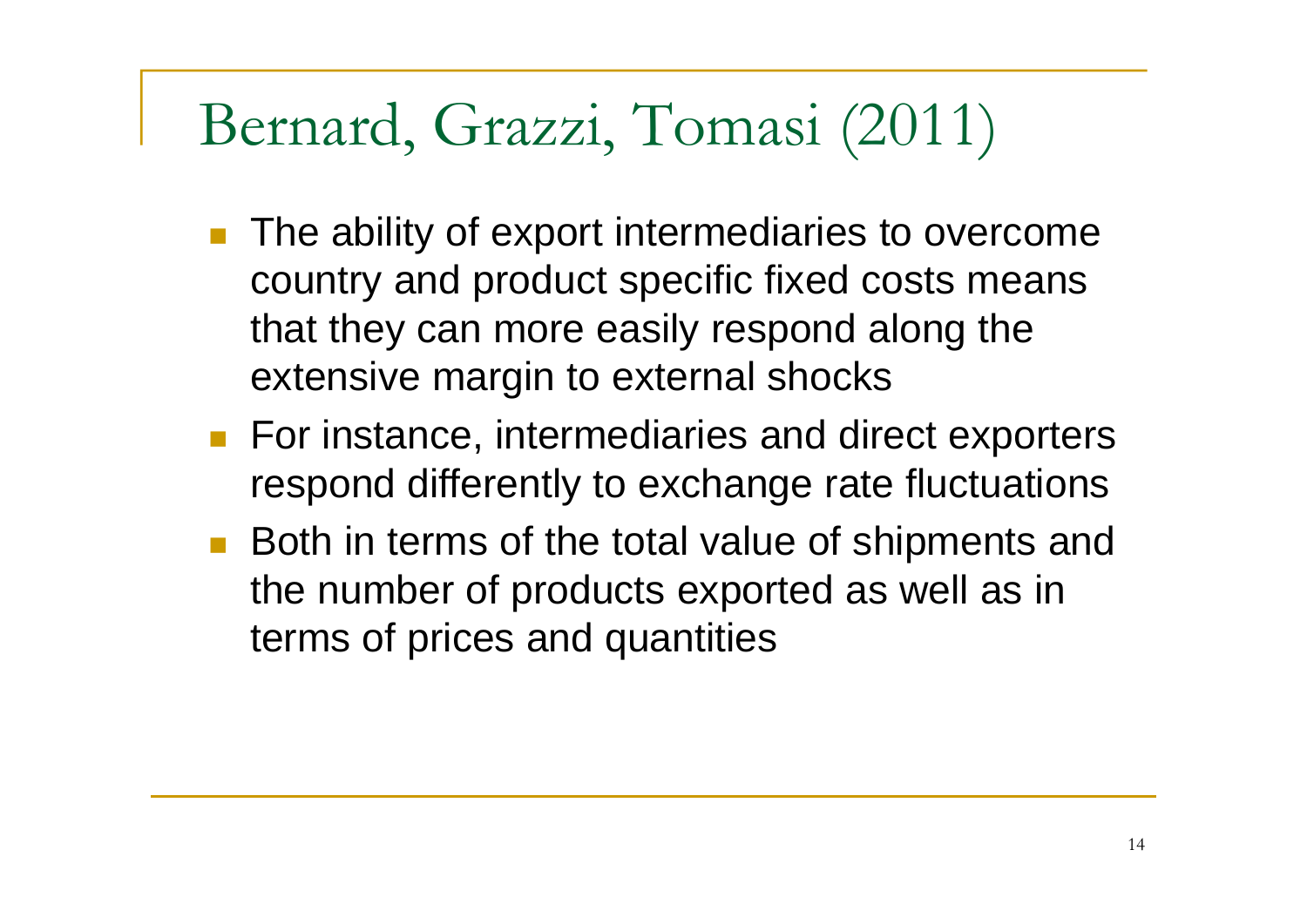#### Bernard, Grazzi, Tomasi (2011)

- The ability of export intermediaries to overcome country and product specific fixed costs means that they can more easily respond along the extensive margin to external shocks
- **For instance, intermediaries and direct exporters** respond differently to exchange rate fluctuations
- Both in terms of the total value of shipments and the number of products exported as well as in terms of prices and quantities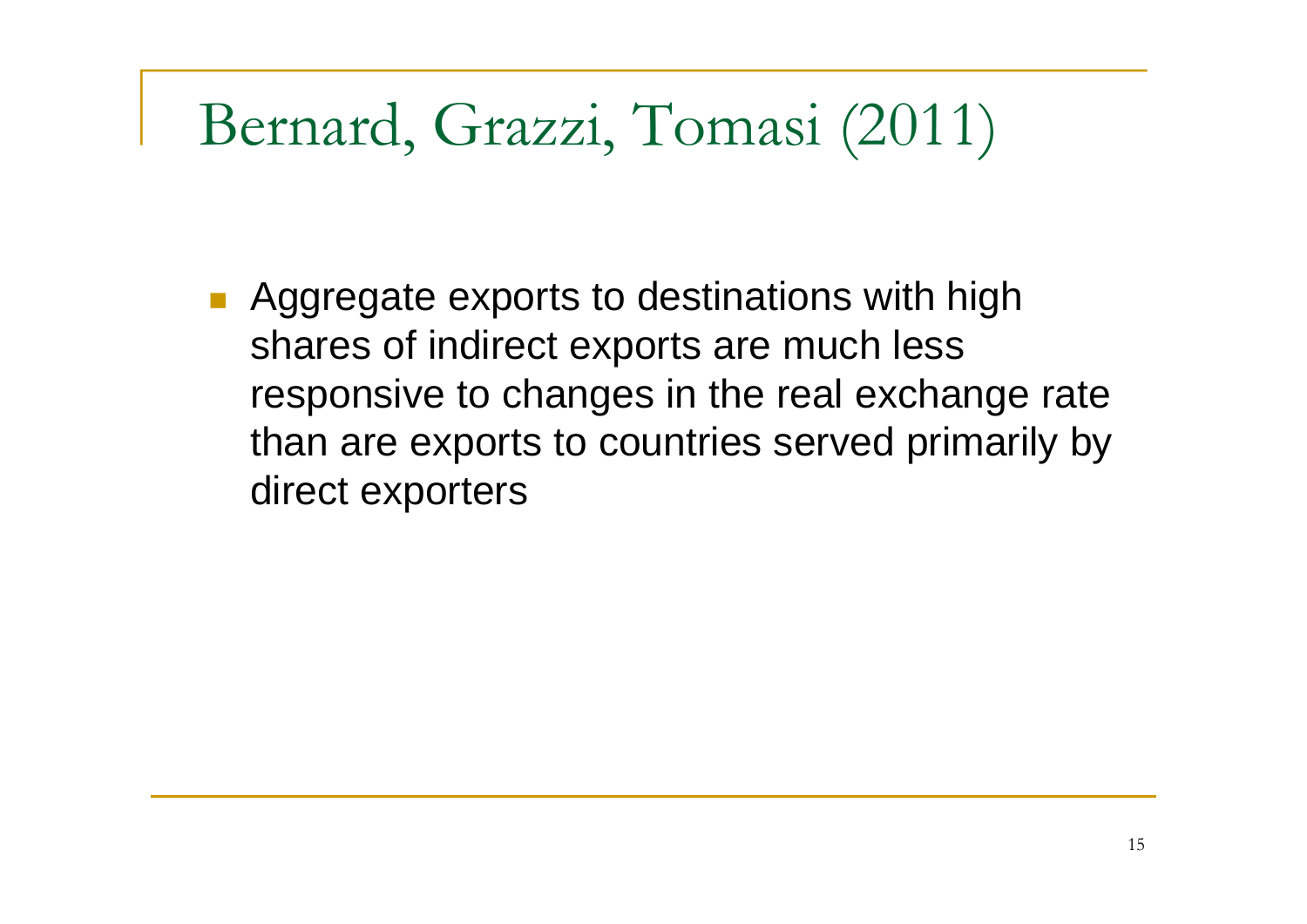#### Bernard, Grazzi, Tomasi (2011)

**Aggregate exports to destinations with high** shares of indirect exports are much less responsive to changes in the real exchange rate than are exports to countries served primarily by direct exporters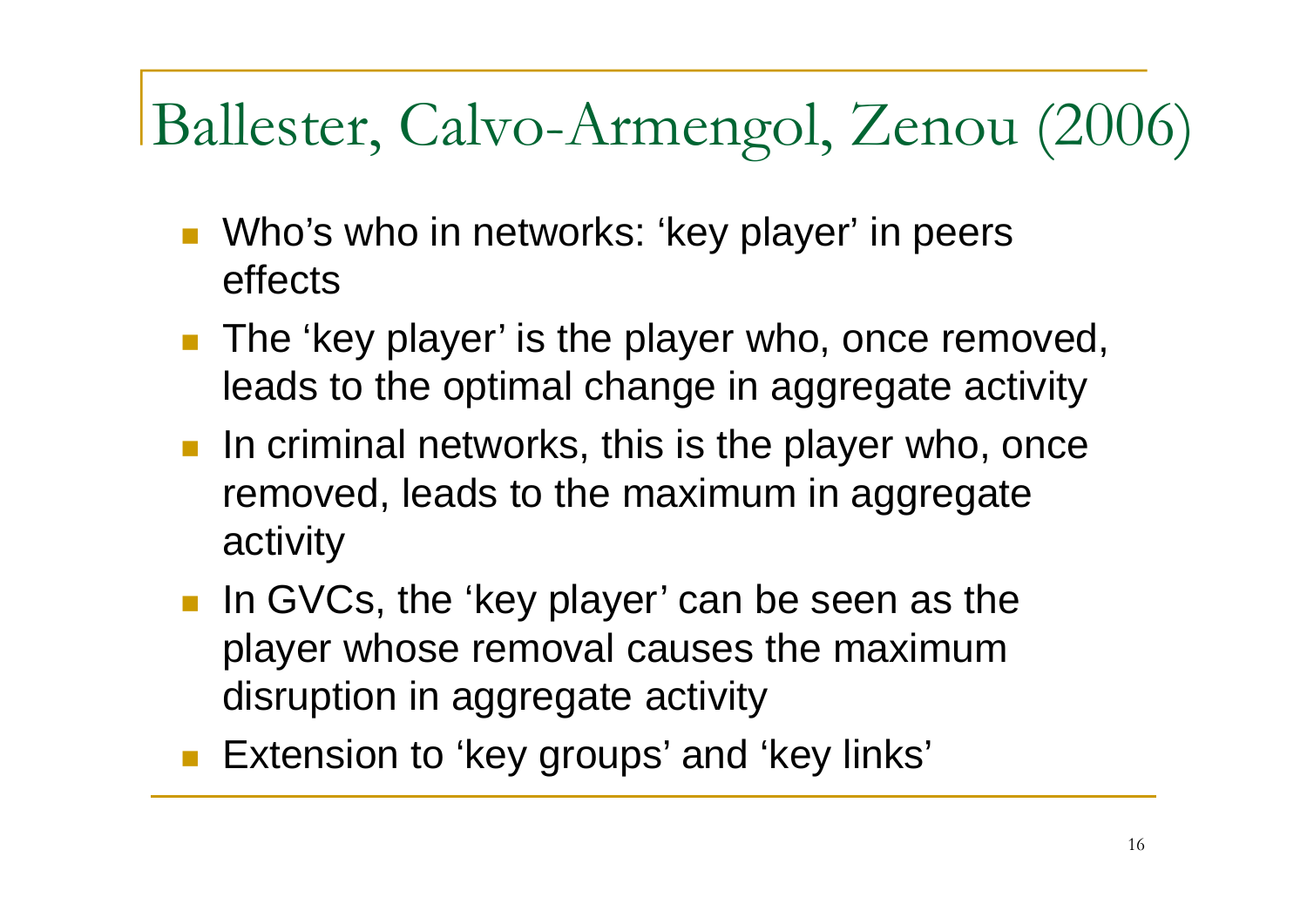# Ballester, Calvo-Armengol, Zenou (2006)

- Who's who in networks: 'key player' in peers effects
- **The 'key player' is the player who, once removed,** leads to the optimal change in aggregate activity
- $\blacksquare$  In criminal networks, this is the player who, once removed, leads to the maximum in aggregate activity
- In GVCs, the 'key player' can be seen as the player whose removal causes the maximum disruption in aggregate activity
- **Extension to 'key groups' and 'key links'**